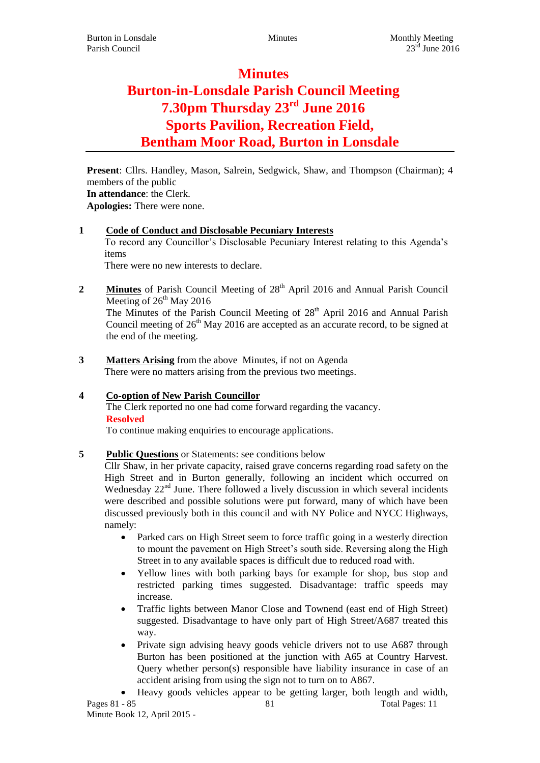# **Minutes**

# **Burton-in-Lonsdale Parish Council Meeting 7.30pm Thursday 23rd June 2016 Sports Pavilion, Recreation Field, Bentham Moor Road, Burton in Lonsdale**

**Present**: Cllrs. Handley, Mason, Salrein, Sedgwick, Shaw, and Thompson (Chairman); 4 members of the public **In attendance**: the Clerk. **Apologies:** There were none.

# **1 Code of Conduct and Disclosable Pecuniary Interests**

To record any Councillor's Disclosable Pecuniary Interest relating to this Agenda's items

There were no new interests to declare.

the end of the meeting.

- **2 Minutes** of Parish Council Meeting of 28<sup>th</sup> April 2016 and Annual Parish Council Meeting of  $26<sup>th</sup>$  May 2016 The Minutes of the Parish Council Meeting of  $28<sup>th</sup>$  April 2016 and Annual Parish Council meeting of  $26<sup>th</sup>$  May 2016 are accepted as an accurate record, to be signed at
- **3 Matters Arising** from the above Minutes, if not on Agenda There were no matters arising from the previous two meetings.
- **4 Co-option of New Parish Councillor** The Clerk reported no one had come forward regarding the vacancy. **Resolved**

To continue making enquiries to encourage applications.

# **5 Public Questions** or Statements: see conditions below

Cllr Shaw, in her private capacity, raised grave concerns regarding road safety on the High Street and in Burton generally, following an incident which occurred on Wednesday  $22<sup>nd</sup>$  June. There followed a lively discussion in which several incidents were described and possible solutions were put forward, many of which have been discussed previously both in this council and with NY Police and NYCC Highways, namely:

- Parked cars on High Street seem to force traffic going in a westerly direction to mount the pavement on High Street's south side. Reversing along the High Street in to any available spaces is difficult due to reduced road with.
- Yellow lines with both parking bays for example for shop, bus stop and restricted parking times suggested. Disadvantage: traffic speeds may increase.
- Traffic lights between Manor Close and Townend (east end of High Street) suggested. Disadvantage to have only part of High Street/A687 treated this way.
- Private sign advising heavy goods vehicle drivers not to use A687 through Burton has been positioned at the junction with A65 at Country Harvest. Query whether person(s) responsible have liability insurance in case of an accident arising from using the sign not to turn on to A867.
- Pages 81 85 81 Total Pages: 11 Heavy goods vehicles appear to be getting larger, both length and width,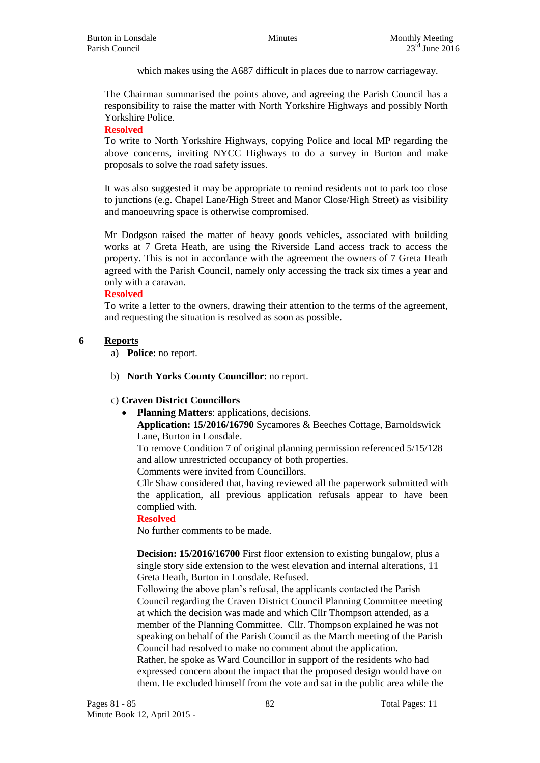which makes using the A687 difficult in places due to narrow carriageway.

The Chairman summarised the points above, and agreeing the Parish Council has a responsibility to raise the matter with North Yorkshire Highways and possibly North Yorkshire Police.

#### **Resolved**

To write to North Yorkshire Highways, copying Police and local MP regarding the above concerns, inviting NYCC Highways to do a survey in Burton and make proposals to solve the road safety issues.

It was also suggested it may be appropriate to remind residents not to park too close to junctions (e.g. Chapel Lane/High Street and Manor Close/High Street) as visibility and manoeuvring space is otherwise compromised.

Mr Dodgson raised the matter of heavy goods vehicles, associated with building works at 7 Greta Heath, are using the Riverside Land access track to access the property. This is not in accordance with the agreement the owners of 7 Greta Heath agreed with the Parish Council, namely only accessing the track six times a year and only with a caravan.

### **Resolved**

To write a letter to the owners, drawing their attention to the terms of the agreement, and requesting the situation is resolved as soon as possible.

#### **6 Reports**

a) **Police**: no report.

b) **North Yorks County Councillor**: no report.

#### c) **Craven District Councillors**

**Planning Matters**: applications, decisions.

**Application: 15/2016/16790** Sycamores & Beeches Cottage, Barnoldswick Lane, Burton in Lonsdale.

To remove Condition 7 of original planning permission referenced 5/15/128 and allow unrestricted occupancy of both properties.

Comments were invited from Councillors.

Cllr Shaw considered that, having reviewed all the paperwork submitted with the application, all previous application refusals appear to have been complied with.

#### **Resolved**

No further comments to be made.

**Decision: 15/2016/16700** First floor extension to existing bungalow, plus a single story side extension to the west elevation and internal alterations, 11 Greta Heath, Burton in Lonsdale. Refused.

Following the above plan's refusal, the applicants contacted the Parish Council regarding the Craven District Council Planning Committee meeting at which the decision was made and which Cllr Thompson attended, as a member of the Planning Committee. Cllr. Thompson explained he was not speaking on behalf of the Parish Council as the March meeting of the Parish Council had resolved to make no comment about the application. Rather, he spoke as Ward Councillor in support of the residents who had

expressed concern about the impact that the proposed design would have on them. He excluded himself from the vote and sat in the public area while the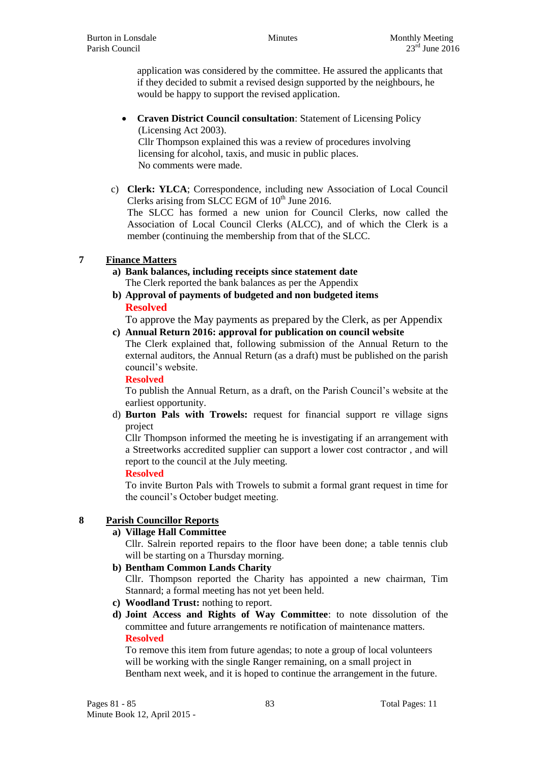application was considered by the committee. He assured the applicants that if they decided to submit a revised design supported by the neighbours, he would be happy to support the revised application.

- **Craven District Council consultation**: Statement of Licensing Policy (Licensing Act 2003). Cllr Thompson explained this was a review of procedures involving licensing for alcohol, taxis, and music in public places. No comments were made.
- c) **Clerk: YLCA**; Correspondence, including new Association of Local Council Clerks arising from SLCC EGM of  $10^{th}$  June 2016. The SLCC has formed a new union for Council Clerks, now called the Association of Local Council Clerks (ALCC), and of which the Clerk is a member (continuing the membership from that of the SLCC.

# **7 Finance Matters**

- **a) Bank balances, including receipts since statement date** The Clerk reported the bank balances as per the Appendix
- **b) Approval of payments of budgeted and non budgeted items Resolved**

To approve the May payments as prepared by the Clerk, as per Appendix

# **c) Annual Return 2016: approval for publication on council website**

The Clerk explained that, following submission of the Annual Return to the external auditors, the Annual Return (as a draft) must be published on the parish council's website.

#### **Resolved**

To publish the Annual Return, as a draft, on the Parish Council's website at the earliest opportunity.

d) **Burton Pals with Trowels:** request for financial support re village signs project

Cllr Thompson informed the meeting he is investigating if an arrangement with a Streetworks accredited supplier can support a lower cost contractor , and will report to the council at the July meeting.

#### **Resolved**

To invite Burton Pals with Trowels to submit a formal grant request in time for the council's October budget meeting.

# **8 Parish Councillor Reports**

**a) Village Hall Committee**

Cllr. Salrein reported repairs to the floor have been done; a table tennis club will be starting on a Thursday morning.

**b) Bentham Common Lands Charity**

Cllr. Thompson reported the Charity has appointed a new chairman, Tim Stannard; a formal meeting has not yet been held.

- **c) Woodland Trust:** nothing to report.
- **d) Joint Access and Rights of Way Committee**: to note dissolution of the committee and future arrangements re notification of maintenance matters. **Resolved**

To remove this item from future agendas; to note a group of local volunteers will be working with the single Ranger remaining, on a small project in Bentham next week, and it is hoped to continue the arrangement in the future.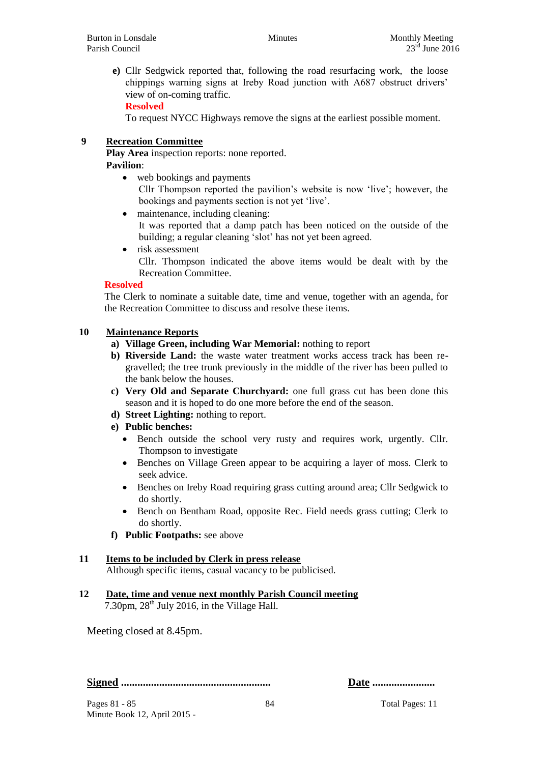**e)** Cllr Sedgwick reported that, following the road resurfacing work, the loose chippings warning signs at Ireby Road junction with A687 obstruct drivers' view of on-coming traffic.

### **Resolved**

To request NYCC Highways remove the signs at the earliest possible moment.

# **9 Recreation Committee**

**Play Area** inspection reports: none reported. **Pavilion**:

- web bookings and payments Cllr Thompson reported the pavilion's website is now 'live'; however, the bookings and payments section is not yet 'live'.
- maintenance, including cleaning:

It was reported that a damp patch has been noticed on the outside of the building; a regular cleaning 'slot' has not yet been agreed.

• risk assessment Cllr. Thompson indicated the above items would be dealt with by the Recreation Committee.

# **Resolved**

The Clerk to nominate a suitable date, time and venue, together with an agenda, for the Recreation Committee to discuss and resolve these items.

# **10 Maintenance Reports**

- **a) Village Green, including War Memorial:** nothing to report
- **b) Riverside Land:** the waste water treatment works access track has been regravelled; the tree trunk previously in the middle of the river has been pulled to the bank below the houses.
- **c) Very Old and Separate Churchyard:** one full grass cut has been done this season and it is hoped to do one more before the end of the season.
- **d) Street Lighting:** nothing to report.
- **e) Public benches:** 
	- Bench outside the school very rusty and requires work, urgently. Cllr. Thompson to investigate
	- Benches on Village Green appear to be acquiring a layer of moss. Clerk to seek advice.
	- Benches on Ireby Road requiring grass cutting around area; Cllr Sedgwick to do shortly.
	- Bench on Bentham Road, opposite Rec. Field needs grass cutting; Clerk to do shortly.
- **f) Public Footpaths:** see above

# **11 Items to be included by Clerk in press release**

Although specific items, casual vacancy to be publicised.

**12 Date, time and venue next monthly Parish Council meeting** 7.30pm,  $28<sup>th</sup>$  July 2016, in the Village Hall.

Meeting closed at 8.45pm.

**Signed ....................................................... Date .......................**